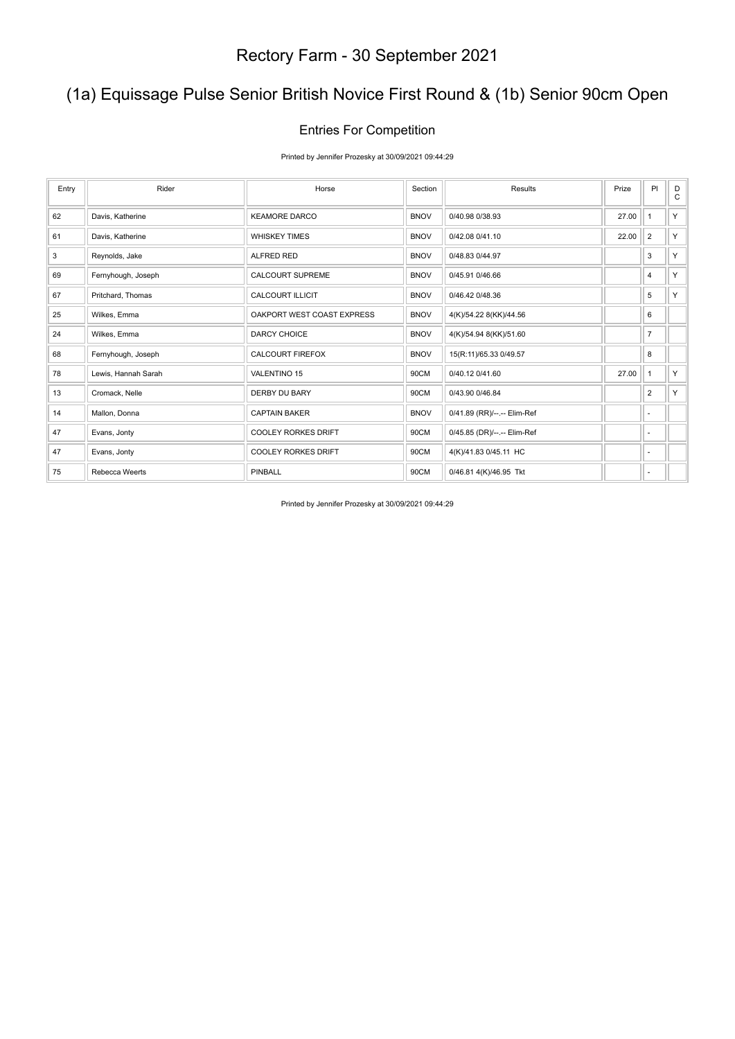## (1a) Equissage Pulse Senior British Novice First Round & (1b) Senior 90cm Open

#### Entries For Competition

Printed by Jennifer Prozesky at 30/09/2021 09:44:29

| Entry | Rider               | Horse                      | Section     | Results                     | Prize | PI             | D<br>C |
|-------|---------------------|----------------------------|-------------|-----------------------------|-------|----------------|--------|
| 62    | Davis, Katherine    | <b>KEAMORE DARCO</b>       | <b>BNOV</b> | 0/40.98 0/38.93             | 27.00 | $\mathbf{1}$   | Y.     |
| 61    | Davis, Katherine    | <b>WHISKEY TIMES</b>       | <b>BNOV</b> | 0/42.08 0/41.10             | 22.00 | $\overline{2}$ | Y.     |
| 3     | Reynolds, Jake      | ALFRED RED                 | <b>BNOV</b> | 0/48.83 0/44.97             |       | 3              | Y.     |
| 69    | Fernyhough, Joseph  | <b>CALCOURT SUPREME</b>    | <b>BNOV</b> | 0/45.91 0/46.66             |       | $\overline{4}$ | Y.     |
| 67    | Pritchard, Thomas   | <b>CALCOURT ILLICIT</b>    | <b>BNOV</b> | 0/46.42 0/48.36             |       | 5              | Y.     |
| 25    | Wilkes, Emma        | OAKPORT WEST COAST EXPRESS | <b>BNOV</b> | 4(K)/54.22 8(KK)/44.56      |       | 6              |        |
| 24    | Wilkes, Emma        | <b>DARCY CHOICE</b>        | <b>BNOV</b> | 4(K)/54.94 8(KK)/51.60      |       | $\overline{7}$ |        |
| 68    | Fernyhough, Joseph  | <b>CALCOURT FIREFOX</b>    | <b>BNOV</b> | 15(R:11)/65.33 0/49.57      |       | 8              |        |
| 78    | Lewis, Hannah Sarah | <b>VALENTINO 15</b>        | 90CM        | 0/40.12 0/41.60             | 27.00 | $\mathbf{1}$   | Y.     |
| 13    | Cromack, Nelle      | DERBY DU BARY              | 90CM        | 0/43.90 0/46.84             |       | $\overline{2}$ | Y.     |
| 14    | Mallon, Donna       | <b>CAPTAIN BAKER</b>       | <b>BNOV</b> | 0/41.89 (RR)/--.-- Elim-Ref |       | ٠              |        |
| 47    | Evans, Jonty        | <b>COOLEY RORKES DRIFT</b> | 90CM        | 0/45.85 (DR)/--.-- Elim-Ref |       | ٠              |        |
| 47    | Evans, Jonty        | <b>COOLEY RORKES DRIFT</b> | 90CM        | 4(K)/41.83 0/45.11 HC       |       | ٠              |        |
| 75    | Rebecca Weerts      | <b>PINBALL</b>             | 90CM        | 0/46.81 4(K)/46.95 Tkt      |       | ٠              |        |

Printed by Jennifer Prozesky at 30/09/2021 09:44:29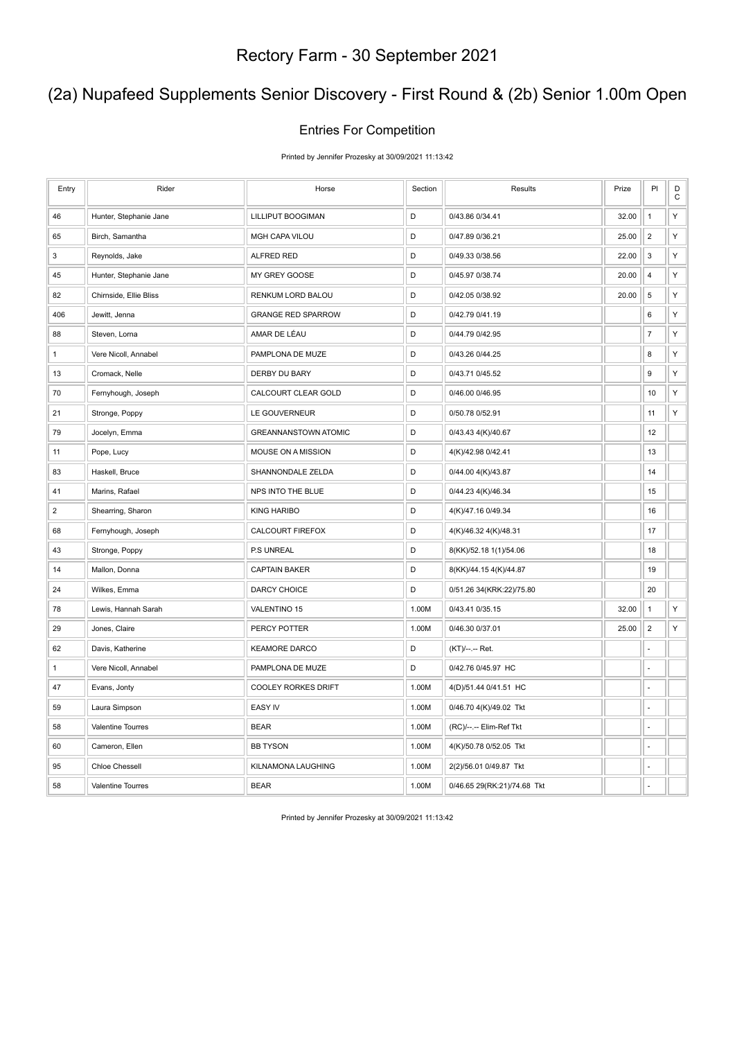## (2a) Nupafeed Supplements Senior Discovery - First Round & (2b) Senior 1.00m Open

#### Entries For Competition

Printed by Jennifer Prozesky at 30/09/2021 11:13:42

| Entry          | Rider                    | Horse                       | Section | Results                     | Prize | PI                       | D<br>$\mathtt{C}$ |
|----------------|--------------------------|-----------------------------|---------|-----------------------------|-------|--------------------------|-------------------|
| 46             | Hunter, Stephanie Jane   | LILLIPUT BOOGIMAN           | D       | 0/43.86 0/34.41             | 32.00 | $\mathbf{1}$             | Υ                 |
| 65             | Birch, Samantha          | <b>MGH CAPA VILOU</b>       | D       | 0/47.89 0/36.21             | 25.00 | $\overline{2}$           | Υ                 |
| 3              | Reynolds, Jake           | ALFRED RED                  | D       | 0/49.33 0/38.56             | 22.00 | 3                        | Υ                 |
| 45             | Hunter, Stephanie Jane   | MY GREY GOOSE               | D       | 0/45.97 0/38.74             | 20.00 | 4                        | Υ                 |
| 82             | Chirnside, Ellie Bliss   | RENKUM LORD BALOU           | D       | 0/42.05 0/38.92             | 20.00 | $\sqrt{5}$               | Υ                 |
| 406            | Jewitt, Jenna            | <b>GRANGE RED SPARROW</b>   | D       | 0/42.79 0/41.19             |       | 6                        | Υ                 |
| 88             | Steven, Lorna            | AMAR DE LÉAU                | D       | 0/44.79 0/42.95             |       | $\overline{\mathcal{I}}$ | Υ                 |
| $\mathbf{1}$   | Vere Nicoll, Annabel     | PAMPLONA DE MUZE            | D       | 0/43.26 0/44.25             |       | 8                        | Υ                 |
| 13             | Cromack, Nelle           | <b>DERBY DU BARY</b>        | D       | 0/43.71 0/45.52             |       | 9                        | Υ                 |
| 70             | Fernyhough, Joseph       | CALCOURT CLEAR GOLD         | D       | 0/46.00 0/46.95             |       | 10                       | Υ                 |
| 21             | Stronge, Poppy           | LE GOUVERNEUR               | D       | 0/50.78 0/52.91             |       | 11                       | Υ                 |
| 79             | Jocelyn, Emma            | <b>GREANNANSTOWN ATOMIC</b> | D       | 0/43.43 4(K)/40.67          |       | 12                       |                   |
| 11             | Pope, Lucy               | MOUSE ON A MISSION          | D       | 4(K)/42.98 0/42.41          |       | 13                       |                   |
| 83             | Haskell, Bruce           | SHANNONDALE ZELDA           | D       | 0/44.00 4(K)/43.87          |       | 14                       |                   |
| 41             | Marins, Rafael           | NPS INTO THE BLUE           | D       | 0/44.23 4(K)/46.34          |       | 15                       |                   |
| $\overline{2}$ | Shearring, Sharon        | <b>KING HARIBO</b>          | D       | 4(K)/47.16 0/49.34          |       | 16                       |                   |
| 68             | Fernyhough, Joseph       | CALCOURT FIREFOX            | D       | 4(K)/46.32 4(K)/48.31       |       | 17                       |                   |
| 43             | Stronge, Poppy           | P.S UNREAL                  | D       | 8(KK)/52.18 1(1)/54.06      |       | 18                       |                   |
| 14             | Mallon, Donna            | <b>CAPTAIN BAKER</b>        | D       | 8(KK)/44.15 4(K)/44.87      |       | 19                       |                   |
| 24             | Wilkes, Emma             | DARCY CHOICE                | D       | 0/51.26 34(KRK:22)/75.80    |       | 20                       |                   |
| 78             | Lewis, Hannah Sarah      | VALENTINO 15                | 1.00M   | 0/43.41 0/35.15             | 32.00 | $\mathbf{1}$             | Υ                 |
| 29             | Jones, Claire            | PERCY POTTER                | 1.00M   | 0/46.30 0/37.01             | 25.00 | $\overline{2}$           | Υ                 |
| 62             | Davis, Katherine         | <b>KEAMORE DARCO</b>        | D       | (KT)/--.-- Ret.             |       | ÷,                       |                   |
| $\mathbf{1}$   | Vere Nicoll, Annabel     | PAMPLONA DE MUZE            | D       | 0/42.76 0/45.97 HC          |       | ä,                       |                   |
| 47             | Evans, Jonty             | <b>COOLEY RORKES DRIFT</b>  | 1.00M   | 4(D)/51.44 0/41.51 HC       |       | L                        |                   |
| 59             | Laura Simpson            | <b>EASY IV</b>              | 1.00M   | 0/46.70 4(K)/49.02 Tkt      |       | ä,                       |                   |
| 58             | <b>Valentine Tourres</b> | <b>BEAR</b>                 | 1.00M   | (RC)/--.-- Elim-Ref Tkt     |       | ÷,                       |                   |
| 60             | Cameron, Ellen           | <b>BB TYSON</b>             | 1.00M   | 4(K)/50.78 0/52.05 Tkt      |       | ÷.                       |                   |
| 95             | <b>Chloe Chessell</b>    | KILNAMONA LAUGHING          | 1.00M   | 2(2)/56.01 0/49.87 Tkt      |       |                          |                   |
| 58             | Valentine Tourres        | <b>BEAR</b>                 | 1.00M   | 0/46.65 29(RK:21)/74.68 Tkt |       | ä,                       |                   |

Printed by Jennifer Prozesky at 30/09/2021 11:13:42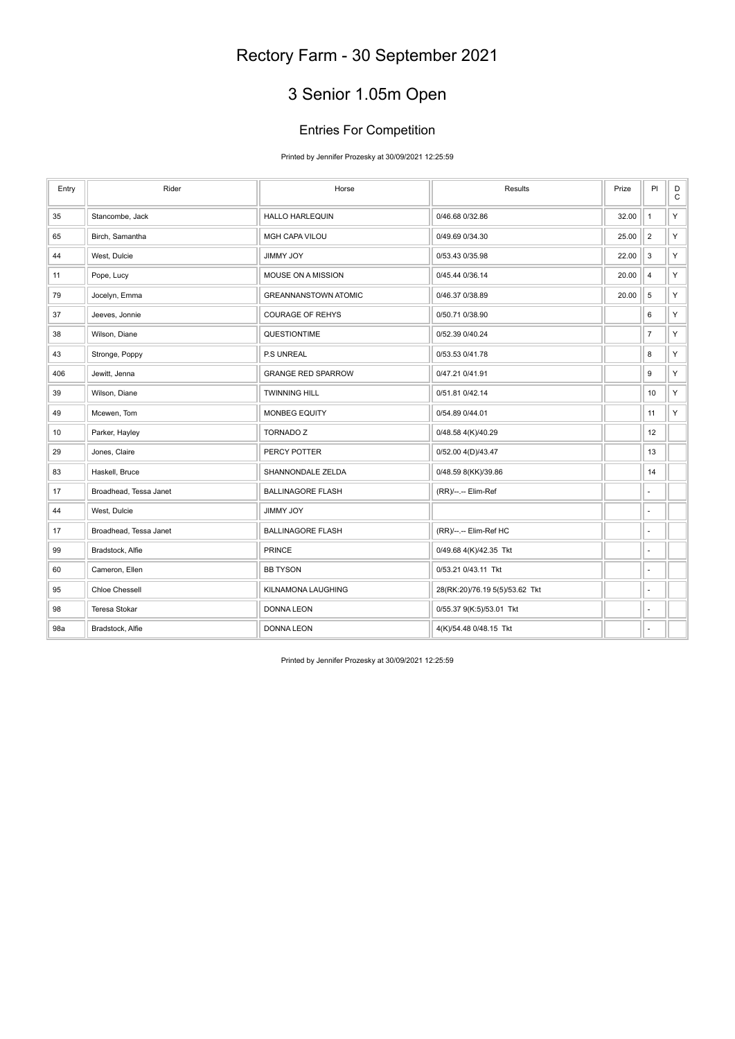# 3 Senior 1.05m Open

#### Entries For Competition

Printed by Jennifer Prozesky at 30/09/2021 12:25:59

| Entry | Rider                  | Horse                       | <b>Results</b>                 | Prize | P                        | $_{\rm C}^{\rm D}$ |
|-------|------------------------|-----------------------------|--------------------------------|-------|--------------------------|--------------------|
| 35    | Stancombe, Jack        | <b>HALLO HARLEQUIN</b>      | 0/46.68 0/32.86                | 32.00 | $\overline{1}$           | Y.                 |
| 65    | Birch, Samantha        | MGH CAPA VILOU              | 0/49.69 0/34.30                | 25.00 | $\overline{2}$           | Y.                 |
| 44    | West, Dulcie           | <b>YOL YMMIL</b>            | 0/53.43 0/35.98                | 22.00 | $\mathsf 3$              | Y.                 |
| 11    | Pope, Lucy             | MOUSE ON A MISSION          | 0/45.44 0/36.14                | 20.00 | $\overline{4}$           | Y.                 |
| 79    | Jocelyn, Emma          | <b>GREANNANSTOWN ATOMIC</b> | 0/46.37 0/38.89                | 20.00 | 5                        | Y.                 |
| 37    | Jeeves, Jonnie         | <b>COURAGE OF REHYS</b>     | 0/50.71 0/38.90                |       | 6                        | Y.                 |
| 38    | Wilson, Diane          | QUESTIONTIME                | 0/52.39 0/40.24                |       | $\overline{7}$           | Y.                 |
| 43    | Stronge, Poppy         | P.S UNREAL                  | 0/53.53 0/41.78                |       | 8                        | Y.                 |
| 406   | Jewitt, Jenna          | <b>GRANGE RED SPARROW</b>   | 0/47.21 0/41.91                |       | 9                        | Y.                 |
| 39    | Wilson, Diane          | <b>TWINNING HILL</b>        | 0/51.81 0/42.14                |       | 10                       | Y                  |
| 49    | Mcewen, Tom            | <b>MONBEG EQUITY</b>        | 0/54.89 0/44.01                |       | 11                       | Y                  |
| 10    | Parker, Hayley         | <b>TORNADO Z</b>            | 0/48.58 4(K)/40.29             |       | 12                       |                    |
| 29    | Jones, Claire          | PERCY POTTER                | 0/52.00 4(D)/43.47             |       | 13                       |                    |
| 83    | Haskell, Bruce         | SHANNONDALE ZELDA           | 0/48.59 8(KK)/39.86            |       | 14                       |                    |
| 17    | Broadhead, Tessa Janet | <b>BALLINAGORE FLASH</b>    | (RR)/--.-- Elim-Ref            |       | ٠                        |                    |
| 44    | West, Dulcie           | <b>YOL YMMIL</b>            |                                |       | $\overline{\phantom{a}}$ |                    |
| 17    | Broadhead, Tessa Janet | <b>BALLINAGORE FLASH</b>    | (RR)/--.-- Elim-Ref HC         |       | ÷,                       |                    |
| 99    | Bradstock, Alfie       | <b>PRINCE</b>               | 0/49.68 4(K)/42.35 Tkt         |       | ÷.                       |                    |
| 60    | Cameron, Ellen         | <b>BB TYSON</b>             | 0/53.21 0/43.11 Tkt            |       | ÷,                       |                    |
| 95    | <b>Chloe Chessell</b>  | KILNAMONA LAUGHING          | 28(RK:20)/76.19 5(5)/53.62 Tkt |       | $\overline{\phantom{a}}$ |                    |
| 98    | Teresa Stokar          | <b>DONNA LEON</b>           | 0/55.37 9(K:5)/53.01 Tkt       |       | $\sim$                   |                    |
| 98a   | Bradstock, Alfie       | <b>DONNA LEON</b>           | 4(K)/54.48 0/48.15 Tkt         |       |                          |                    |

Printed by Jennifer Prozesky at 30/09/2021 12:25:59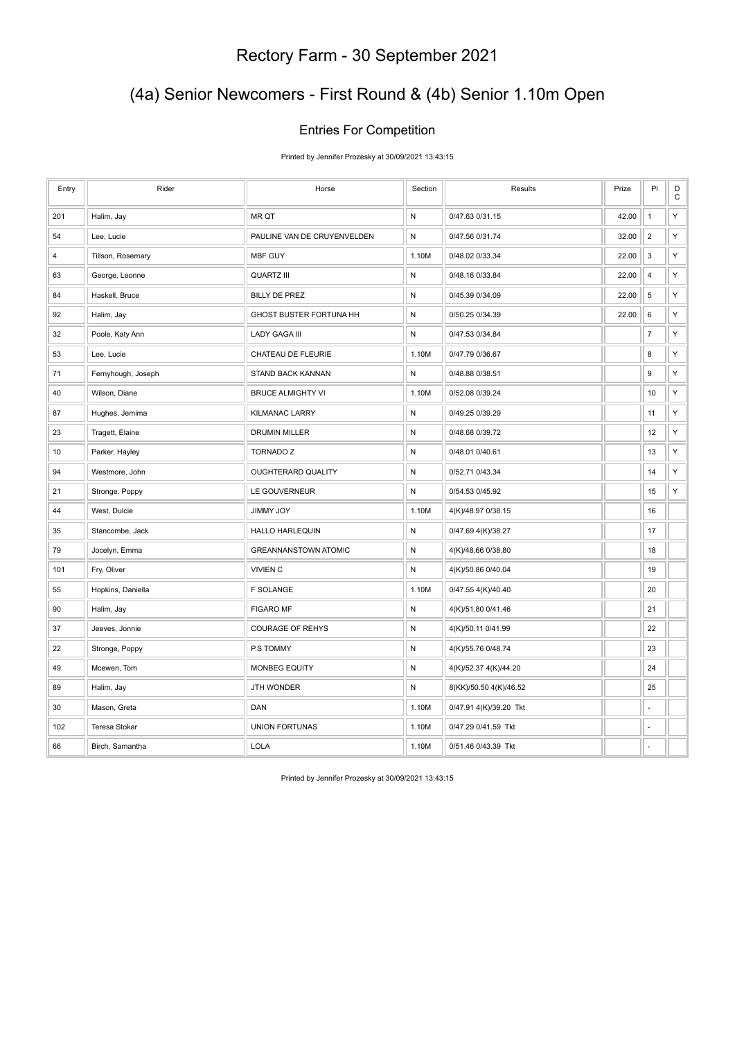## (4a) Senior Newcomers - First Round & (4b) Senior 1.10m Open

#### Entries For Competition

Printed by Jennifer Prozesky at 30/09/2021 13:43:15

| Entry      | Rider              | Horse                       | Section      | Results                | Prize | PI               | D<br>$\mathsf C$ |
|------------|--------------------|-----------------------------|--------------|------------------------|-------|------------------|------------------|
| 201        | Halim, Jay         | MR QT                       | N            | 0/47.63 0/31.15        | 42.00 | $\mathbf{1}$     | Y                |
| 54         | Lee, Lucie         | PAULINE VAN DE CRUYENVELDEN | N            | 0/47.56 0/31.74        | 32.00 | $\sqrt{2}$       | Y                |
| $\sqrt{4}$ | Tillson, Rosemary  | MBF GUY                     | 1.10M        | 0/48.02 0/33.34        | 22.00 | $\sqrt{3}$       | Y                |
| 63         | George, Leonne     | <b>QUARTZ III</b>           | $\mathsf{N}$ | 0/48.16 0/33.84        | 22.00 | $\overline{4}$   | Y                |
| 84         | Haskell, Bruce     | <b>BILLY DE PREZ</b>        | $\mathsf{N}$ | 0/45.39 0/34.09        | 22.00 | $\,$ 5 $\,$      | Y                |
| 92         | Halim, Jay         | GHOST BUSTER FORTUNA HH     | N            | 0/50.25 0/34.39        | 22.00 | 6                | Y                |
| 32         | Poole, Katy Ann    | <b>LADY GAGA III</b>        | ${\sf N}$    | 0/47.53 0/34.84        |       | $\boldsymbol{7}$ | Y                |
| 53         | Lee, Lucie         | CHATEAU DE FLEURIE          | 1.10M        | 0/47.79 0/36.67        |       | 8                | Y                |
| 71         | Fernyhough, Joseph | STAND BACK KANNAN           | ${\sf N}$    | 0/48.88 0/38.51        |       | $\boldsymbol{9}$ | Y                |
| 40         | Wilson, Diane      | <b>BRUCE ALMIGHTY VI</b>    | 1.10M        | 0/52.08 0/39.24        |       | 10               | Y                |
| 87         | Hughes, Jemima     | <b>KILMANAC LARRY</b>       | ${\sf N}$    | 0/49.25 0/39.29        |       | 11               | Y                |
| 23         | Tragett, Elaine    | <b>DRUMIN MILLER</b>        | ${\sf N}$    | 0/48.68 0/39.72        |       | 12               | Y                |
| 10         | Parker, Hayley     | <b>TORNADO Z</b>            | ${\sf N}$    | 0/48.01 0/40.61        |       | 13               | Y                |
| 94         | Westmore, John     | OUGHTERARD QUALITY          | ${\sf N}$    | 0/52.71 0/43.34        |       | 14               | Υ                |
| 21         | Stronge, Poppy     | LE GOUVERNEUR               | ${\sf N}$    | 0/54.53 0/45.92        |       | 15               | Y                |
| 44         | West, Dulcie       | <b>JIMMY JOY</b>            | 1.10M        | 4(K)/48.97 0/38.15     |       | 16               |                  |
| 35         | Stancombe, Jack    | <b>HALLO HARLEQUIN</b>      | ${\sf N}$    | 0/47.69 4(K)/38.27     |       | 17               |                  |
| 79         | Jocelyn, Emma      | <b>GREANNANSTOWN ATOMIC</b> | $\mathsf{N}$ | 4(K)/48.66 0/38.80     |       | 18               |                  |
| 101        | Fry, Oliver        | <b>VIVIEN C</b>             | ${\sf N}$    | 4(K)/50.86 0/40.04     |       | 19               |                  |
| 55         | Hopkins, Daniella  | <b>F SOLANGE</b>            | 1.10M        | 0/47.55 4(K)/40.40     |       | 20               |                  |
| 90         | Halim, Jay         | <b>FIGARO MF</b>            | N            | 4(K)/51.80 0/41.46     |       | 21               |                  |
| 37         | Jeeves, Jonnie     | <b>COURAGE OF REHYS</b>     | N            | 4(K)/50.11 0/41.99     |       | 22               |                  |
| 22         | Stronge, Poppy     | P.S TOMMY                   | ${\sf N}$    | 4(K)/55.76 0/48.74     |       | 23               |                  |
| 49         | Mcewen, Tom        | <b>MONBEG EQUITY</b>        | $\mathsf{N}$ | 4(K)/52.37 4(K)/44.20  |       | 24               |                  |
| 89         | Halim, Jay         | JTH WONDER                  | ${\sf N}$    | 8(KK)/50.50 4(K)/46.52 |       | 25               |                  |
| 30         | Mason, Greta       | DAN                         | 1.10M        | 0/47.91 4(K)/39.20 Tkt |       |                  |                  |
| 102        | Teresa Stokar      | <b>UNION FORTUNAS</b>       | 1.10M        | 0/47.29 0/41.59 Tkt    |       |                  |                  |
| 66         | Birch, Samantha    | <b>LOLA</b>                 | 1.10M        | 0/51.46 0/43.39 Tkt    |       |                  |                  |

Printed by Jennifer Prozesky at 30/09/2021 13:43:15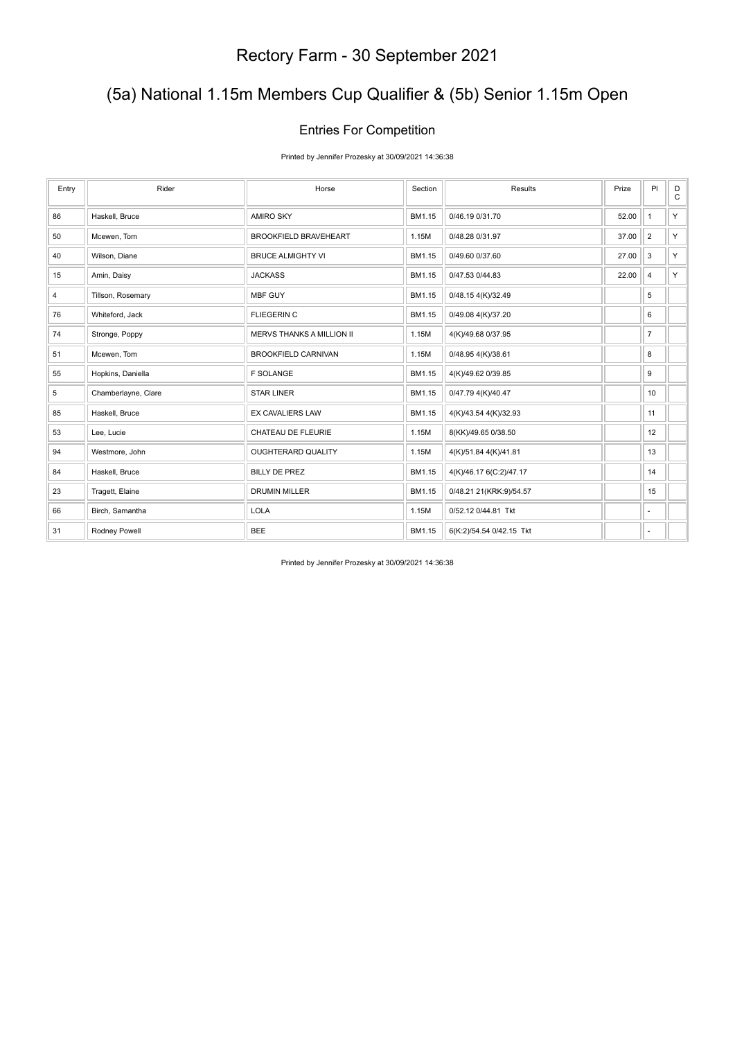## (5a) National 1.15m Members Cup Qualifier & (5b) Senior 1.15m Open

#### Entries For Competition

Printed by Jennifer Prozesky at 30/09/2021 14:36:38

| Entry | Rider               | Horse                            | Section | Results                  | Prize | PI                       | D<br>$\mathsf C$ |
|-------|---------------------|----------------------------------|---------|--------------------------|-------|--------------------------|------------------|
| 86    | Haskell, Bruce      | <b>AMIRO SKY</b>                 | BM1.15  | 0/46.19 0/31.70          | 52.00 | $\mathbf{1}$             | Y.               |
| 50    | Mcewen, Tom         | <b>BROOKFIELD BRAVEHEART</b>     | 1.15M   | 0/48.28 0/31.97          | 37.00 | $\overline{2}$           | Y.               |
| 40    | Wilson, Diane       | <b>BRUCE ALMIGHTY VI</b>         | BM1.15  | 0/49.60 0/37.60          | 27.00 | 3                        | Y.               |
| 15    | Amin, Daisy         | <b>JACKASS</b>                   | BM1.15  | 0/47.53 0/44.83          | 22.00 | 4                        | Y.               |
| 4     | Tillson, Rosemary   | MBF GUY                          | BM1.15  | 0/48.15 4(K)/32.49       |       | 5                        |                  |
| 76    | Whiteford, Jack     | <b>FLIEGERIN C</b>               | BM1.15  | 0/49.08 4(K)/37.20       |       | 6                        |                  |
| 74    | Stronge, Poppy      | <b>MERVS THANKS A MILLION II</b> | 1.15M   | 4(K)/49.68 0/37.95       |       | $\overline{7}$           |                  |
| 51    | Mcewen, Tom         | <b>BROOKFIELD CARNIVAN</b>       | 1.15M   | 0/48.95 4(K)/38.61       |       | 8                        |                  |
| 55    | Hopkins, Daniella   | <b>F SOLANGE</b>                 | BM1.15  | 4(K)/49.62 0/39.85       |       | 9                        |                  |
| 5     | Chamberlayne, Clare | <b>STAR LINER</b>                | BM1.15  | 0/47.79 4(K)/40.47       |       | 10                       |                  |
| 85    | Haskell, Bruce      | EX CAVALIERS LAW                 | BM1.15  | 4(K)/43.54 4(K)/32.93    |       | 11                       |                  |
| 53    | Lee, Lucie          | CHATEAU DE FLEURIE               | 1.15M   | 8(KK)/49.65 0/38.50      |       | 12                       |                  |
| 94    | Westmore, John      | <b>OUGHTERARD QUALITY</b>        | 1.15M   | 4(K)/51.84 4(K)/41.81    |       | 13                       |                  |
| 84    | Haskell, Bruce      | <b>BILLY DE PREZ</b>             | BM1.15  | 4(K)/46.17 6(C:2)/47.17  |       | 14                       |                  |
| 23    | Tragett, Elaine     | <b>DRUMIN MILLER</b>             | BM1.15  | 0/48.21 21(KRK:9)/54.57  |       | 15                       |                  |
| 66    | Birch, Samantha     | <b>LOLA</b>                      | 1.15M   | 0/52.12 0/44.81 Tkt      |       | ٠                        |                  |
| 31    | Rodney Powell       | <b>BEE</b>                       | BM1.15  | 6(K:2)/54.54 0/42.15 Tkt |       | $\overline{\phantom{a}}$ |                  |

Printed by Jennifer Prozesky at 30/09/2021 14:36:38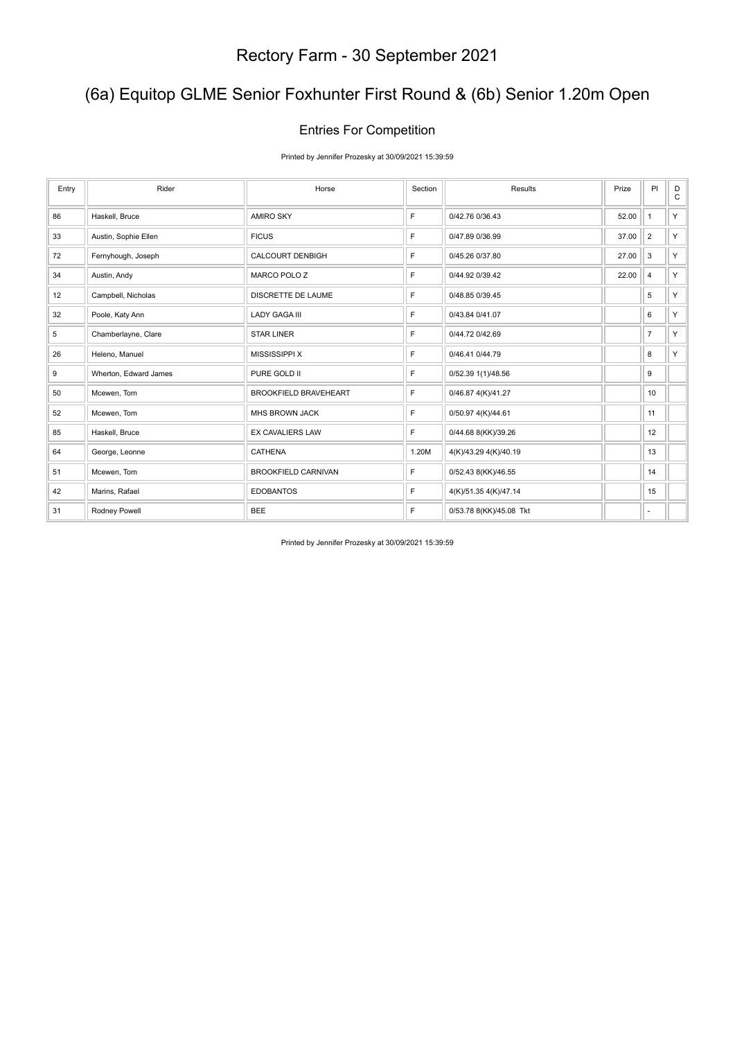## (6a) Equitop GLME Senior Foxhunter First Round & (6b) Senior 1.20m Open

#### Entries For Competition

Printed by Jennifer Prozesky at 30/09/2021 15:39:59

| Entry | Rider                 | Horse                        | Section | Results                 | Prize | PI             | D<br>$\mathsf{C}$ |
|-------|-----------------------|------------------------------|---------|-------------------------|-------|----------------|-------------------|
| 86    | Haskell, Bruce        | AMIRO SKY                    | F       | 0/42.76 0/36.43         | 52.00 | $\mathbf{1}$   | Y.                |
| 33    | Austin, Sophie Ellen  | <b>FICUS</b>                 | F       | 0/47.89 0/36.99         | 37.00 | $\overline{2}$ | Y.                |
| 72    | Fernyhough, Joseph    | <b>CALCOURT DENBIGH</b>      | F       | 0/45.26 0/37.80         | 27.00 | 3              | Y.                |
| 34    | Austin, Andy          | MARCO POLO Z                 | F       | 0/44.92 0/39.42         | 22.00 | 4              | Y.                |
| 12    | Campbell, Nicholas    | <b>DISCRETTE DE LAUME</b>    | F       | 0/48.85 0/39.45         |       | 5              | Y                 |
| 32    | Poole, Katy Ann       | <b>LADY GAGA III</b>         | F       | 0/43.84 0/41.07         |       | 6              | Y.                |
| 5     | Chamberlayne, Clare   | <b>STAR LINER</b>            | F       | 0/44.72 0/42.69         |       | $\overline{7}$ | Y.                |
| 26    | Heleno, Manuel        | <b>MISSISSIPPI X</b>         | F       | 0/46.41 0/44.79         |       | 8              | Y.                |
| 9     | Wherton, Edward James | PURE GOLD II                 | F       | 0/52.39 1(1)/48.56      |       | 9              |                   |
| 50    | Mcewen, Tom           | <b>BROOKFIELD BRAVEHEART</b> | F       | 0/46.87 4(K)/41.27      |       | 10             |                   |
| 52    | Mcewen, Tom           | <b>MHS BROWN JACK</b>        | F       | 0/50.97 4(K)/44.61      |       | 11             |                   |
| 85    | Haskell, Bruce        | <b>EX CAVALIERS LAW</b>      | F       | 0/44.68 8(KK)/39.26     |       | 12             |                   |
| 64    | George, Leonne        | CATHENA                      | 1.20M   | 4(K)/43.29 4(K)/40.19   |       | 13             |                   |
| 51    | Mcewen, Tom           | <b>BROOKFIELD CARNIVAN</b>   | F       | 0/52.43 8(KK)/46.55     |       | 14             |                   |
| 42    | Marins, Rafael        | <b>EDOBANTOS</b>             | F       | 4(K)/51.35 4(K)/47.14   |       | 15             |                   |
| 31    | Rodney Powell         | <b>BEE</b>                   | F       | 0/53.78 8(KK)/45.08 Tkt |       | ٠              |                   |

Printed by Jennifer Prozesky at 30/09/2021 15:39:59